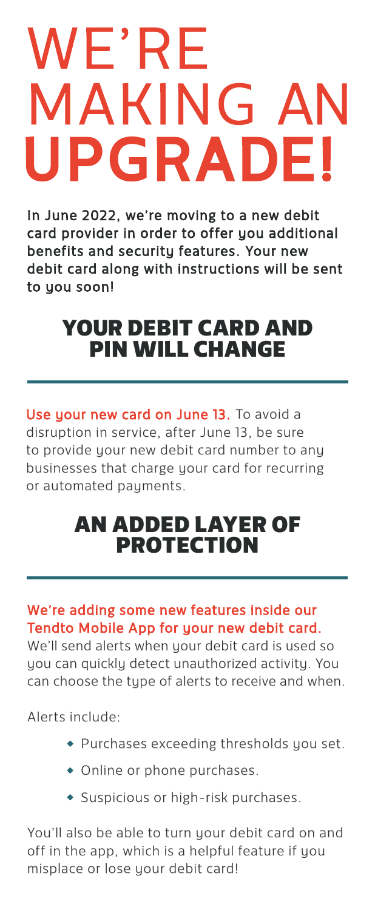# WE'RE **MAKING AN<br>UPGRADE!**

In June 2022, we're moving to a new debit card provider in order to offer you additional benefits and security features. Your new debit card along with instructions will be sent to you soon!

# YOUR DEBIT CARD AND PIN WILL CHANGE

Use your new card on June 13. To avoid a disruption in service, after June 13, be sure to provide your new debit card number to any businesses that charge your card for recurring or automated payments.

### AN ADDED LAYER OF PROTECTION

#### We're adding some new features inside our Tendto Mobile App for your new debit card.

We'll send alerts when your debit card is used so you can quickly detect unauthorized activity. You can choose the type of alerts to receive and when.

Alerts include:

- Purchases exceeding thresholds you set.
- Online or phone purchases.
- Suspicious or high-risk purchases.

You'll also be able to turn your debit card on and off in the app, which is a helpful feature if you misplace or lose your debit card!